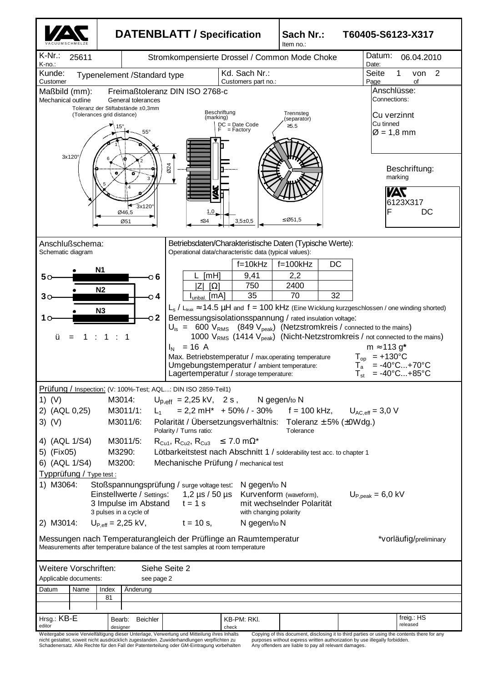|                                                                                                                                                                                                                                                                                                                                                                       | <b>DATENBLATT / Specification</b>                                                                                                    |                                                                                                                                                                                                                                                                                                                                                                                                 | Sach Nr.:<br>T60405-S6123-X317<br>Item no.:         |                                                                                                                                                                                                                                                                                                                                                 |  |  |  |
|-----------------------------------------------------------------------------------------------------------------------------------------------------------------------------------------------------------------------------------------------------------------------------------------------------------------------------------------------------------------------|--------------------------------------------------------------------------------------------------------------------------------------|-------------------------------------------------------------------------------------------------------------------------------------------------------------------------------------------------------------------------------------------------------------------------------------------------------------------------------------------------------------------------------------------------|-----------------------------------------------------|-------------------------------------------------------------------------------------------------------------------------------------------------------------------------------------------------------------------------------------------------------------------------------------------------------------------------------------------------|--|--|--|
| K-Nr.:<br>25611<br>K-no.:                                                                                                                                                                                                                                                                                                                                             | Stromkompensierte Drossel / Common Mode Choke                                                                                        | Datum:<br>06.04.2010<br>Date:                                                                                                                                                                                                                                                                                                                                                                   |                                                     |                                                                                                                                                                                                                                                                                                                                                 |  |  |  |
| Kunde:<br>Typenelement /Standard type<br>Customer                                                                                                                                                                                                                                                                                                                     | Seite<br>2<br>von<br>of<br>Page                                                                                                      |                                                                                                                                                                                                                                                                                                                                                                                                 |                                                     |                                                                                                                                                                                                                                                                                                                                                 |  |  |  |
| Maßbild (mm):<br>Mechanical outline<br>Toleranz der Stiftabstände ±0,3mm<br>(Tolerances grid distance)<br>3x120°                                                                                                                                                                                                                                                      | Freimaßtoleranz DIN ISO 2768-c<br>General tolerances<br>15°<br>$55^{\circ}$                                                          | Beschriftung<br>(marking)<br>$DC = Date Code$<br>= Factory                                                                                                                                                                                                                                                                                                                                      | Trennsteg<br>(separator)<br>$≥5.5$                  | Anschlüsse:<br>Connections:<br>Cu verzinnt<br>Cu tinned<br>$\varnothing$ = 1,8 mm                                                                                                                                                                                                                                                               |  |  |  |
|                                                                                                                                                                                                                                                                                                                                                                       | 024<br>ы<br>$3x120^\circ$<br>Ø46,5<br>Ø51                                                                                            | 1.0<br>≤34<br>$3,5+0,5$                                                                                                                                                                                                                                                                                                                                                                         | £ Ø51,5                                             | Beschriftung:<br>marking<br>УАТ<br>6123X317<br>F<br>DC                                                                                                                                                                                                                                                                                          |  |  |  |
| Anschlußschema:<br>Schematic diagram                                                                                                                                                                                                                                                                                                                                  |                                                                                                                                      | Betriebsdaten/Charakteristische Daten (Typische Werte):<br>Operational data/characteristic data (typical values):                                                                                                                                                                                                                                                                               |                                                     |                                                                                                                                                                                                                                                                                                                                                 |  |  |  |
| <b>N1</b><br>50<br>N <sub>2</sub><br>30<br>N3<br>ü<br>1                                                                                                                                                                                                                                                                                                               | O 6<br>் 4<br><b>L</b> unbal<br>$\sim$ 2<br>$I_{N}$ = 16 A<br>Prüfung / Inspection: (V: 100%-Test; AQL: DIN ISO 2859-Teil1)          | $f = 10kHz$<br>[mH]<br>9,41<br>750<br>ΙZ<br>$\lceil \Omega \rceil$<br>35<br>[MA]<br>Bemessungsisolationsspannung / rated insulation voltage:<br>$U_{\rm is}$ = 600 $V_{\rm RMS}$ (849 $V_{\rm peak}$ ) (Netzstromkreis / connected to the mains)<br>Max. Betriebstemperatur / max.operating temperature<br>Umgebungstemperatur / ambient temperature:<br>Lagertemperatur / storage temperature: | DC<br>$f = 100k$ Hz<br>2,2<br>2400<br>70<br>32      | $L_s$ / $L_{\text{leak}} \approx 14.5 \mu H$ and $f = 100 \text{ kHz}$ (Eine Wicklung kurzgeschlossen / one winding shorted)<br>1000 V <sub>RMS</sub> (1414 V <sub>peak</sub> ) (Nicht-Netzstromkreis / not connected to the mains)<br>$m \approx 113 g^*$<br>$T_{op}$ = +130°C<br>$= -40^{\circ}C+70^{\circ}C$<br>$= -40^{\circ}C+85^{\circ}C$ |  |  |  |
| 1) $(V)$<br>M3014:<br>$U_{\text{D,eff}} = 2,25 \text{ kV}, 2 \text{ s}, \qquad \text{N}$ gegen/to N<br>$= 2.2 \text{ mH}^* + 50\% / - 30\%$ f = 100 kHz, $U_{AC,eff} = 3.0 \text{ V}$<br>2) (AQL 0,25)<br>M3011/1:<br>$L_{1}$<br>Polarität / Übersetzungsverhältnis: Toleranz $\pm$ 5% ( $\pm$ 0Wdg.)<br>$3)$ (V)<br>M3011/6:<br>Polarity / Turns ratio:<br>Tolerance |                                                                                                                                      |                                                                                                                                                                                                                                                                                                                                                                                                 |                                                     |                                                                                                                                                                                                                                                                                                                                                 |  |  |  |
| 4) (AQL 1/S4)<br>M3011/5:<br>$R_{Cu1}$ , $R_{Cu2}$ , $R_{Cu3}$ $\leq 7.0$ m $\Omega^*$<br>5) (Fix05)<br>M3290:<br>Lötbarkeitstest nach Abschnitt 1 / solderability test acc. to chapter 1<br>6) (AQL 1/S4)<br>M3200:<br>Mechanische Prüfung / mechanical test<br>Typprüfung / Type test :<br>Stoßspannungsprüfung / surge voltage test:                               |                                                                                                                                      |                                                                                                                                                                                                                                                                                                                                                                                                 |                                                     |                                                                                                                                                                                                                                                                                                                                                 |  |  |  |
| 1) M3064:                                                                                                                                                                                                                                                                                                                                                             | Einstellwerte / Settings:<br>3 Impulse im Abstand<br>$t = 1$ s<br>3 pulses in a cycle of                                             | N gegen/to N<br>1,2 $\mu$ s / 50 $\mu$ s<br>with changing polarity                                                                                                                                                                                                                                                                                                                              | Kurvenform (waveform),<br>mit wechselnder Polarität | $U_{\text{P,peak}} = 6.0 \text{ kV}$                                                                                                                                                                                                                                                                                                            |  |  |  |
| 2) M3014:<br>$U_{P,eff} = 2,25$ kV,<br>$t = 10$ s,<br>N gegen/to N<br>Messungen nach Temperaturangleich der Prüflinge an Raumtemperatur<br>*vorläufig/preliminary<br>Measurements after temperature balance of the test samples at room temperature                                                                                                                   |                                                                                                                                      |                                                                                                                                                                                                                                                                                                                                                                                                 |                                                     |                                                                                                                                                                                                                                                                                                                                                 |  |  |  |
| Weitere Vorschriften:<br>Siehe Seite 2<br>Applicable documents:<br>see page 2                                                                                                                                                                                                                                                                                         |                                                                                                                                      |                                                                                                                                                                                                                                                                                                                                                                                                 |                                                     |                                                                                                                                                                                                                                                                                                                                                 |  |  |  |
| Datum<br>Name<br>Index<br>Anderung<br>81                                                                                                                                                                                                                                                                                                                              |                                                                                                                                      |                                                                                                                                                                                                                                                                                                                                                                                                 |                                                     |                                                                                                                                                                                                                                                                                                                                                 |  |  |  |
| Hrsg.: KB-E<br>editor                                                                                                                                                                                                                                                                                                                                                 | Bearb:<br><b>Beichler</b><br>designer<br>Weitergabe sowie Vervielfältigung dieser Unterlage, Verwertung und Mitteilung ihres Inhalts | KB-PM: RKI.<br>check                                                                                                                                                                                                                                                                                                                                                                            |                                                     | freig.: HS<br>released<br>Copying of this document, disclosing it to third parties or using the contents there for any                                                                                                                                                                                                                          |  |  |  |

| wellelydde sowle vervieliailiguig uleser Onlendge, verwerlung unu milleliung innes innalis |
|--------------------------------------------------------------------------------------------|
| nicht gestattet, soweit nicht ausdrücklich zugestanden. Zuwiderhandlungen verpflichten zu  |
| Schadenersatz. Alle Rechte für den Fall der Patenterteilung oder GM-Eintragung vorbehalten |

purposes without express written authorization by use illegally forbidden. Any offenders are liable to pay all relevant damages.